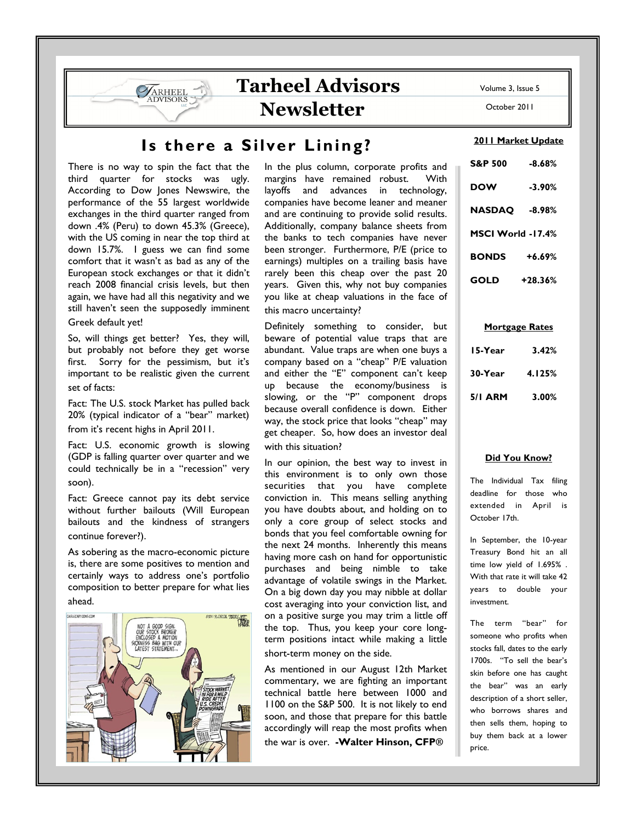Volume 3, Issue 5

October 2011

# Is there a Silver Lining?

There is no way to spin the fact that the third quarter for stocks was ugly. According to Dow Jones Newswire, the performance of the 55 largest worldwide exchanges in the third quarter ranged from down .4% (Peru) to down 45.3% (Greece), with the US coming in near the top third at down 15.7%. I guess we can find some comfort that it wasn't as bad as any of the European stock exchanges or that it didn't reach 2008 financial crisis levels, but then again, we have had all this negativity and we still haven't seen the supposedly imminent Greek default yet!

ARHEEL **DVISORS** 

So, will things get better? Yes, they will, but probably not before they get worse first. Sorry for the pessimism, but it's important to be realistic given the current set of facts:

Fact: The U.S. stock Market has pulled back 20% (typical indicator of a "bear" market) from it's recent highs in April 2011.

Fact: U.S. economic growth is slowing (GDP is falling quarter over quarter and we could technically be in a "recession" very soon).

Fact: Greece cannot pay its debt service without further bailouts (Will European bailouts and the kindness of strangers continue forever?).

As sobering as the macro-economic picture is, there are some positives to mention and certainly ways to address one's portfolio composition to better prepare for what lies ahead.



In the plus column, corporate profits and margins have remained robust. With layoffs and advances in technology, companies have become leaner and meaner and are continuing to provide solid results. Additionally, company balance sheets from the banks to tech companies have never been stronger. Furthermore, P/E (price to earnings) multiples on a trailing basis have rarely been this cheap over the past 20 years. Given this, why not buy companies you like at cheap valuations in the face of this macro uncertainty?

Tarheel Advisors

**Newsletter** 

Definitely something to consider, but beware of potential value traps that are abundant. Value traps are when one buys a company based on a "cheap" P/E valuation and either the "E" component can't keep up because the economy/business is slowing, or the "P" component drops because overall confidence is down. Either way, the stock price that looks "cheap" may get cheaper. So, how does an investor deal with this situation?

In our opinion, the best way to invest in this environment is to only own those securities that you have complete conviction in. This means selling anything you have doubts about, and holding on to only a core group of select stocks and bonds that you feel comfortable owning for the next 24 months. Inherently this means having more cash on hand for opportunistic purchases and being nimble to take advantage of volatile swings in the Market. On a big down day you may nibble at dollar cost averaging into your conviction list, and on a positive surge you may trim a little off the top. Thus, you keep your core longterm positions intact while making a little short-term money on the side.

As mentioned in our August 12th Market commentary, we are fighting an important technical battle here between 1000 and 1100 on the S&P 500. It is not likely to end soon, and those that prepare for this battle accordingly will reap the most profits when the war is over. -Walter Hinson, CFP**®**

## 2011 Market Update

| S&P 500           | $-8.68%$  |
|-------------------|-----------|
| <b>DOW</b>        | $-3.90%$  |
| NASDAQ            | $-8.98%$  |
| MSCI World -17.4% |           |
| <b>BONDS</b>      | $+6.69%$  |
| GOLD              | $+28.36%$ |

### Mortgage Rates

| 15-Year        | 3.42%  |
|----------------|--------|
| 30-Year        | 4.125% |
| <b>5/1 ARM</b> | 3.00%  |

### Did You Know?

The Individual Tax filing deadline for those who extended in April is October 17th.

In September, the 10-year Treasury Bond hit an all time low yield of 1.695% . With that rate it will take 42 years to double your investment.

The term "bear" for someone who profits when stocks fall, dates to the early 1700s. "To sell the bear's skin before one has caught the bear" was an early description of a short seller, who borrows shares and then sells them, hoping to buy them back at a lower price.